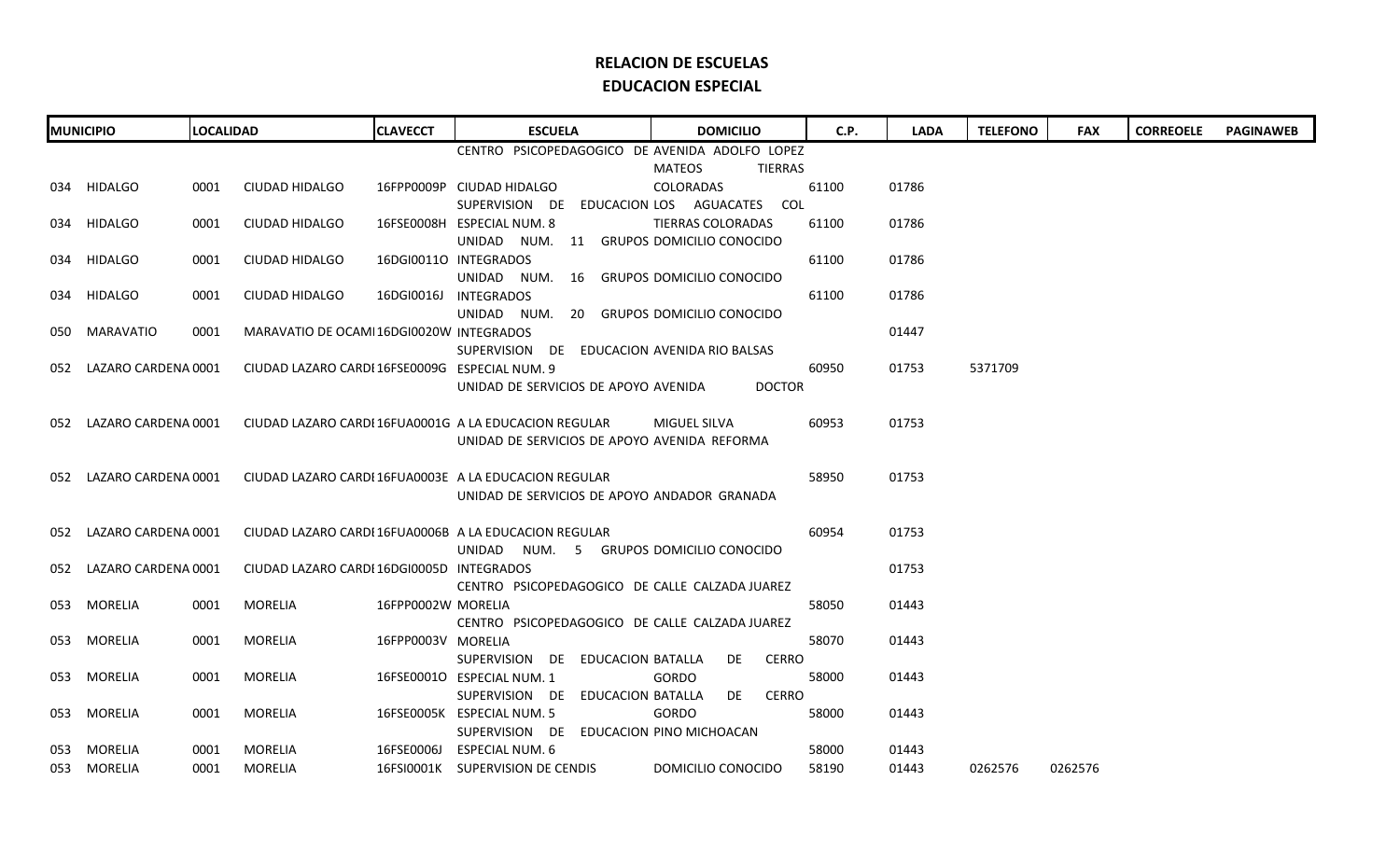| <b>MUNICIPIO</b>        | <b>LOCALIDAD</b> |                                                | <b>CLAVECCT</b>    | <b>ESCUELA</b>                                        | <b>DOMICILIO</b>            | C.P.  | <b>LADA</b> | <b>TELEFONO</b> | <b>FAX</b> | <b>CORREOELE</b> | <b>PAGINAWEB</b> |
|-------------------------|------------------|------------------------------------------------|--------------------|-------------------------------------------------------|-----------------------------|-------|-------------|-----------------|------------|------------------|------------------|
|                         |                  |                                                |                    | CENTRO PSICOPEDAGOGICO DE AVENIDA ADOLFO LOPEZ        |                             |       |             |                 |            |                  |                  |
|                         |                  |                                                |                    |                                                       | <b>MATEOS</b><br>TIERRAS    |       |             |                 |            |                  |                  |
| 034 HIDALGO             | 0001             | CIUDAD HIDALGO                                 |                    | 16FPP0009P CIUDAD HIDALGO                             | COLORADAS                   | 61100 | 01786       |                 |            |                  |                  |
|                         |                  |                                                |                    | SUPERVISION DE                                        | EDUCACION LOS AGUACATES COL |       |             |                 |            |                  |                  |
| 034 HIDALGO             | 0001             | <b>CIUDAD HIDALGO</b>                          |                    | 16FSE0008H ESPECIAL NUM. 8                            | <b>TIERRAS COLORADAS</b>    | 61100 | 01786       |                 |            |                  |                  |
|                         |                  |                                                |                    | UNIDAD NUM. 11 GRUPOS DOMICILIO CONOCIDO              |                             |       |             |                 |            |                  |                  |
| 034 HIDALGO             | 0001             | <b>CIUDAD HIDALGO</b>                          |                    | 16DGI00110 INTEGRADOS                                 |                             | 61100 | 01786       |                 |            |                  |                  |
|                         |                  |                                                |                    | UNIDAD NUM. 16 GRUPOS DOMICILIO CONOCIDO              |                             |       |             |                 |            |                  |                  |
| 034 HIDALGO             | 0001             | CIUDAD HIDALGO                                 |                    | 16DGI0016J INTEGRADOS                                 |                             | 61100 | 01786       |                 |            |                  |                  |
|                         |                  |                                                |                    | UNIDAD NUM. 20 GRUPOS DOMICILIO CONOCIDO              |                             |       |             |                 |            |                  |                  |
| 050 MARAVATIO           | 0001             | MARAVATIO DE OCAMI 16DGI0020W INTEGRADOS       |                    |                                                       |                             |       | 01447       |                 |            |                  |                  |
|                         |                  |                                                |                    | SUPERVISION DE EDUCACION AVENIDA RIO BALSAS           |                             |       |             |                 |            |                  |                  |
| 052 LAZARO CARDENA 0001 |                  | CIUDAD LAZARO CARDI 16FSE0009G ESPECIAL NUM. 9 |                    |                                                       |                             | 60950 | 01753       | 5371709         |            |                  |                  |
|                         |                  |                                                |                    | UNIDAD DE SERVICIOS DE APOYO AVENIDA                  | <b>DOCTOR</b>               |       |             |                 |            |                  |                  |
|                         |                  |                                                |                    |                                                       |                             |       |             |                 |            |                  |                  |
| 052 LAZARO CARDENA 0001 |                  |                                                |                    | CIUDAD LAZARO CARDI 16FUA0001G A LA EDUCACION REGULAR | MIGUEL SILVA                | 60953 | 01753       |                 |            |                  |                  |
|                         |                  |                                                |                    | UNIDAD DE SERVICIOS DE APOYO AVENIDA REFORMA          |                             |       |             |                 |            |                  |                  |
|                         |                  |                                                |                    |                                                       |                             |       |             |                 |            |                  |                  |
| 052 LAZARO CARDENA 0001 |                  |                                                |                    | CIUDAD LAZARO CARDI 16FUA0003E A LA EDUCACION REGULAR |                             | 58950 | 01753       |                 |            |                  |                  |
|                         |                  |                                                |                    | UNIDAD DE SERVICIOS DE APOYO ANDADOR GRANADA          |                             |       |             |                 |            |                  |                  |
|                         |                  |                                                |                    |                                                       |                             |       |             |                 |            |                  |                  |
| 052 LAZARO CARDENA 0001 |                  |                                                |                    | CIUDAD LAZARO CARDI 16FUA0006B A LA EDUCACION REGULAR |                             | 60954 | 01753       |                 |            |                  |                  |
|                         |                  |                                                |                    | UNIDAD NUM. 5 GRUPOS DOMICILIO CONOCIDO               |                             |       |             |                 |            |                  |                  |
| 052 LAZARO CARDENA 0001 |                  | CIUDAD LAZARO CARDI 16DGI0005D INTEGRADOS      |                    |                                                       |                             |       | 01753       |                 |            |                  |                  |
|                         |                  |                                                |                    | CENTRO PSICOPEDAGOGICO DE CALLE CALZADA JUAREZ        |                             |       |             |                 |            |                  |                  |
| 053 MORELIA             | 0001             | MORELIA                                        | 16FPP0002W MORELIA |                                                       |                             | 58050 | 01443       |                 |            |                  |                  |
|                         |                  |                                                |                    | CENTRO PSICOPEDAGOGICO DE CALLE CALZADA JUAREZ        |                             |       |             |                 |            |                  |                  |
| 053 MORELIA             | 0001             | MORELIA                                        | 16FPP0003V MORELIA |                                                       |                             | 58070 | 01443       |                 |            |                  |                  |
|                         |                  |                                                |                    | SUPERVISION DE EDUCACION BATALLA                      | <b>CERRO</b><br>DE          |       |             |                 |            |                  |                  |
| 053 MORELIA             | 0001             | MORELIA                                        |                    | 16FSE00010 ESPECIAL NUM. 1                            | <b>GORDO</b>                | 58000 | 01443       |                 |            |                  |                  |
|                         |                  |                                                |                    | SUPERVISION DE<br>EDUCACION BATALLA                   | <b>CERRO</b><br>DE          |       |             |                 |            |                  |                  |
| 053 MORELIA             | 0001             | MORELIA                                        |                    | 16FSE0005K ESPECIAL NUM. 5                            | GORDO                       | 58000 | 01443       |                 |            |                  |                  |
|                         |                  |                                                |                    | SUPERVISION DE EDUCACION PINO MICHOACAN               |                             |       |             |                 |            |                  |                  |
| 053 MORELIA             | 0001             | MORELIA                                        |                    | 16FSE0006J ESPECIAL NUM. 6                            |                             | 58000 | 01443       |                 |            |                  |                  |
| 053 MORELIA             | 0001             | MORELIA                                        |                    | 16FSI0001K SUPERVISION DE CENDIS                      | DOMICILIO CONOCIDO          | 58190 | 01443       | 0262576         | 0262576    |                  |                  |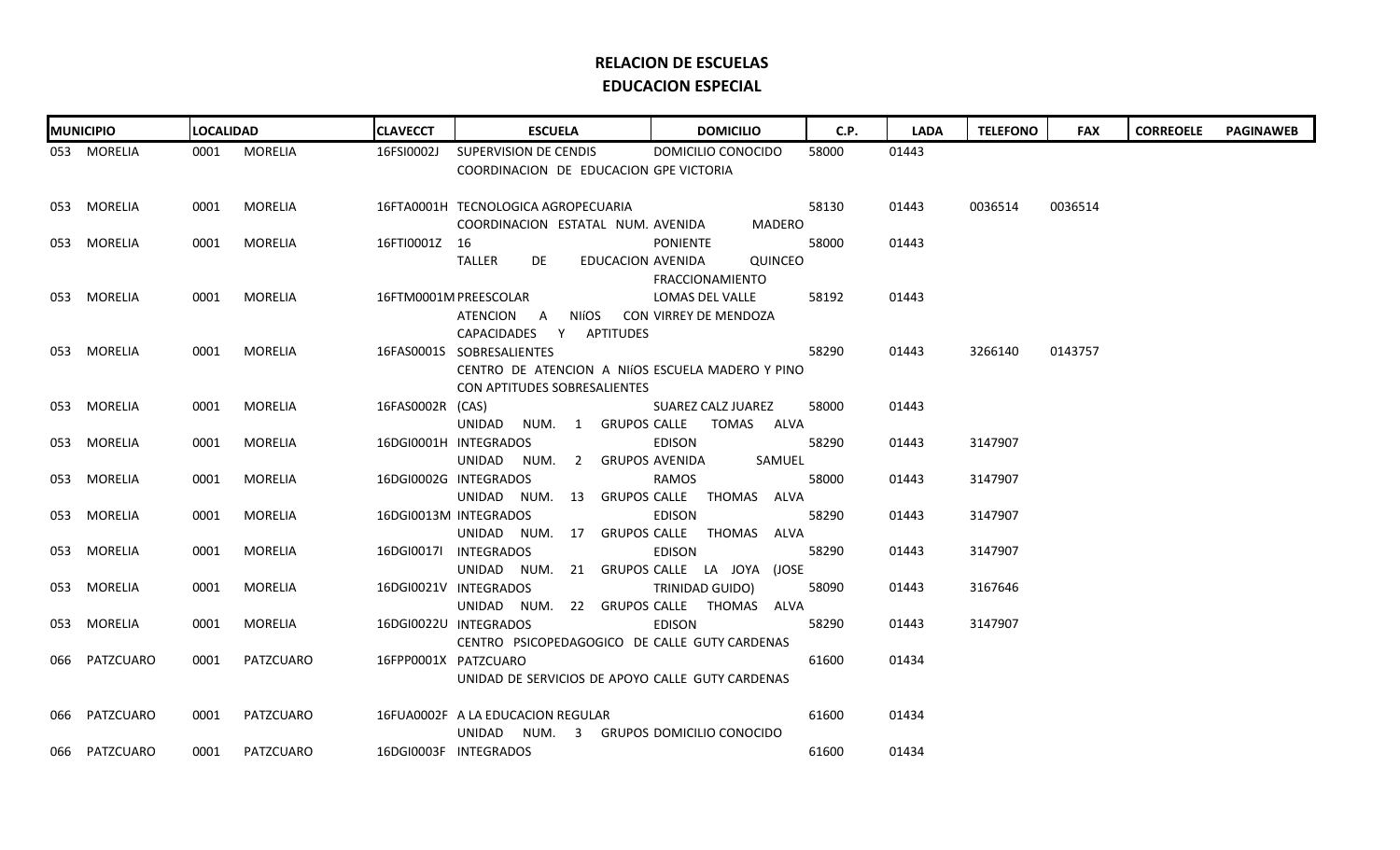| <b>MUNICIPIO</b> | <b>LOCALIDAD</b> |              | <b>CLAVECCT</b>      | <b>ESCUELA</b>                                                     | <b>DOMICILIO</b>      | <b>C.P.</b> | <b>LADA</b> | <b>TELEFONO</b> | <b>FAX</b> | <b>CORREOELE</b> | <b>PAGINAWEB</b> |
|------------------|------------------|--------------|----------------------|--------------------------------------------------------------------|-----------------------|-------------|-------------|-----------------|------------|------------------|------------------|
| 053 MORELIA      |                  | 0001 MORELIA | 16FSI0002J           | SUPERVISION DE CENDIS                                              | DOMICILIO CONOCIDO    | 58000       | 01443       |                 |            |                  |                  |
|                  |                  |              |                      | COORDINACION DE EDUCACION GPE VICTORIA                             |                       |             |             |                 |            |                  |                  |
|                  |                  |              |                      |                                                                    |                       |             |             |                 |            |                  |                  |
| 053 MORELIA      | 0001             | MORELIA      |                      | 16FTA0001H TECNOLOGICA AGROPECUARIA                                |                       | 58130       | 01443       | 0036514         | 0036514    |                  |                  |
|                  |                  |              |                      | COORDINACION ESTATAL NUM. AVENIDA                                  | MADERO                |             |             |                 |            |                  |                  |
| 053 MORELIA      | 0001             | MORELIA      | 16FTI0001Z 16        |                                                                    | PONIENTE              | 58000       | 01443       |                 |            |                  |                  |
|                  |                  |              |                      | TALLER<br>DE<br>EDUCACION AVENIDA                                  | <b>QUINCEO</b>        |             |             |                 |            |                  |                  |
|                  |                  |              |                      |                                                                    | FRACCIONAMIENTO       |             |             |                 |            |                  |                  |
| 053 MORELIA      | 0001             | MORELIA      |                      | 16FTM0001M PREESCOLAR                                              | LOMAS DEL VALLE       | 58192       | 01443       |                 |            |                  |                  |
|                  |                  |              |                      | ATENCION A<br>NIÍOS                                                | CON VIRREY DE MENDOZA |             |             |                 |            |                  |                  |
|                  |                  |              |                      | CAPACIDADES Y APTITUDES                                            |                       |             |             |                 |            |                  |                  |
| 053 MORELIA      | 0001             | MORELIA      |                      | 16FAS0001S SOBRESALIENTES                                          |                       | 58290       | 01443       | 3266140         | 0143757    |                  |                  |
|                  |                  |              |                      | CENTRO DE ATENCION A NIÍOS ESCUELA MADERO Y PINO                   |                       |             |             |                 |            |                  |                  |
|                  |                  |              |                      | CON APTITUDES SOBRESALIENTES                                       |                       |             |             |                 |            |                  |                  |
| 053 MORELIA      | 0001             | MORELIA      | 16FAS0002R (CAS)     |                                                                    | SUAREZ CALZ JUAREZ    | 58000       | 01443       |                 |            |                  |                  |
|                  |                  |              |                      | UNIDAD NUM. 1 GRUPOS CALLE TOMAS ALVA                              |                       |             |             |                 |            |                  |                  |
| 053 MORELIA      | 0001             | MORELIA      |                      | 16DGI0001H INTEGRADOS                                              | <b>EDISON</b>         | 58290       | 01443       | 3147907         |            |                  |                  |
|                  |                  |              |                      | UNIDAD NUM. 2 GRUPOS AVENIDA                                       | SAMUEL                |             |             |                 |            |                  |                  |
| 053 MORELIA      | 0001             | MORELIA      |                      | 16DGI0002G INTEGRADOS                                              | RAMOS                 | 58000       | 01443       | 3147907         |            |                  |                  |
|                  |                  |              |                      | UNIDAD NUM. 13 GRUPOS CALLE THOMAS ALVA                            |                       |             |             |                 |            |                  |                  |
| 053 MORELIA      | 0001             | MORELIA      |                      | 16DGI0013M INTEGRADOS                                              | <b>EDISON</b>         | 58290       | 01443       | 3147907         |            |                  |                  |
|                  |                  |              |                      | UNIDAD NUM. 17 GRUPOS CALLE THOMAS ALVA                            |                       |             |             |                 |            |                  |                  |
| 053 MORELIA      | 0001             | MORELIA      |                      | 16DGI0017I INTEGRADOS                                              | EDISON                | 58290       | 01443       | 3147907         |            |                  |                  |
| 053 MORELIA      | 0001             | MORELIA      |                      | UNIDAD NUM. 21 GRUPOS CALLE LA JOYA (JOSE<br>16DGI0021V INTEGRADOS | TRINIDAD GUIDO)       | 58090       | 01443       | 3167646         |            |                  |                  |
|                  |                  |              |                      | UNIDAD NUM. 22 GRUPOS CALLE THOMAS ALVA                            |                       |             |             |                 |            |                  |                  |
| 053 MORELIA      | 0001             | MORELIA      |                      | 16DGI0022U INTEGRADOS                                              | EDISON                | 58290       | 01443       | 3147907         |            |                  |                  |
|                  |                  |              |                      | CENTRO PSICOPEDAGOGICO DE CALLE GUTY CARDENAS                      |                       |             |             |                 |            |                  |                  |
| 066 PATZCUARO    | 0001             | PATZCUARO    | 16FPP0001X PATZCUARO |                                                                    |                       | 61600       | 01434       |                 |            |                  |                  |
|                  |                  |              |                      | UNIDAD DE SERVICIOS DE APOYO CALLE GUTY CARDENAS                   |                       |             |             |                 |            |                  |                  |
|                  |                  |              |                      |                                                                    |                       |             |             |                 |            |                  |                  |
| 066 PATZCUARO    | 0001             | PATZCUARO    |                      | 16FUA0002F A LA EDUCACION REGULAR                                  |                       | 61600       | 01434       |                 |            |                  |                  |
|                  |                  |              |                      | UNIDAD NUM. 3 GRUPOS DOMICILIO CONOCIDO                            |                       |             |             |                 |            |                  |                  |
| 066 PATZCUARO    | 0001             | PATZCUARO    |                      | 16DGI0003F INTEGRADOS                                              |                       | 61600       | 01434       |                 |            |                  |                  |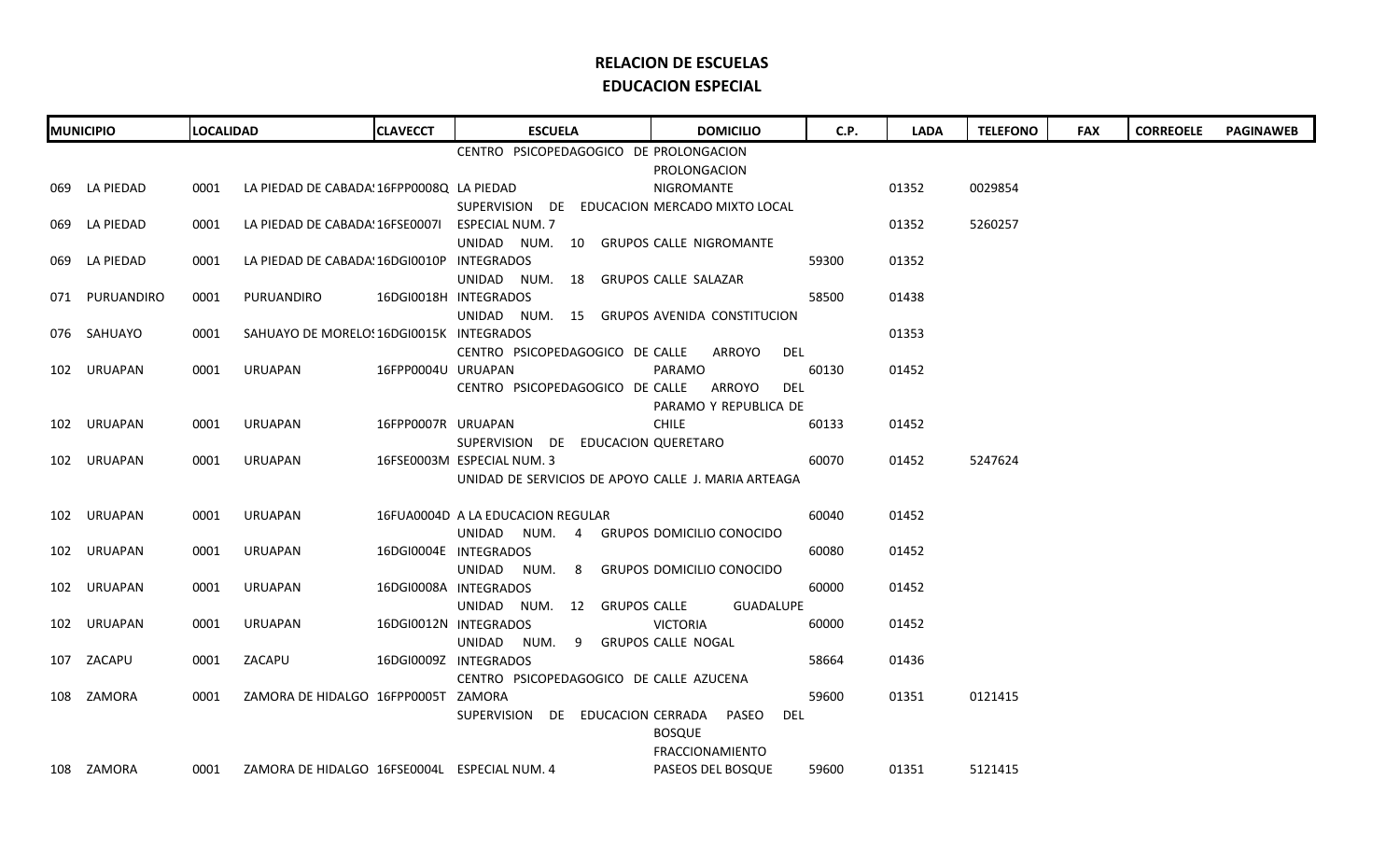| <b>MUNICIPIO</b> |                                        | <b>LOCALIDAD</b> |                                                   | <b>CLAVECCT</b>    | <b>ESCUELA</b>                                                                    | <b>DOMICILIO</b><br>C.P. |       | <b>LADA</b> | <b>TELEFONO</b> | <b>FAX</b> | <b>CORREOELE</b> | <b>PAGINAWEB</b> |
|------------------|----------------------------------------|------------------|---------------------------------------------------|--------------------|-----------------------------------------------------------------------------------|--------------------------|-------|-------------|-----------------|------------|------------------|------------------|
|                  | CENTRO PSICOPEDAGOGICO DE PROLONGACION |                  |                                                   |                    |                                                                                   |                          |       |             |                 |            |                  |                  |
|                  | PROLONGACION                           |                  |                                                   |                    |                                                                                   |                          |       |             |                 |            |                  |                  |
|                  | 069 LA PIEDAD                          | 0001             | LA PIEDAD DE CABADA! 16FPP0008Q LA PIEDAD         |                    |                                                                                   | NIGROMANTE               |       | 01352       | 0029854         |            |                  |                  |
|                  |                                        |                  |                                                   |                    | SUPERVISION DE EDUCACION MERCADO MIXTO LOCAL                                      |                          |       |             |                 |            |                  |                  |
|                  | 069 LA PIEDAD                          | 0001             | LA PIEDAD DE CABADA: 16FSE00071 ESPECIAL NUM. 7   |                    |                                                                                   |                          |       | 01352       | 5260257         |            |                  |                  |
|                  |                                        |                  |                                                   |                    | UNIDAD NUM. 10 GRUPOS CALLE NIGROMANTE                                            |                          |       |             |                 |            |                  |                  |
|                  | 069 LA PIEDAD                          | 0001             | LA PIEDAD DE CABADA: 16DGI0010P INTEGRADOS        |                    |                                                                                   |                          | 59300 | 01352       |                 |            |                  |                  |
|                  |                                        |                  |                                                   |                    | UNIDAD NUM. 18 GRUPOS CALLE SALAZAR                                               |                          |       |             |                 |            |                  |                  |
|                  | 071 PURUANDIRO                         | 0001             | PURUANDIRO                                        |                    | 16DGI0018H INTEGRADOS                                                             |                          | 58500 | 01438       |                 |            |                  |                  |
|                  |                                        |                  |                                                   |                    | UNIDAD NUM. 15 GRUPOS AVENIDA CONSTITUCION                                        |                          |       |             |                 |            |                  |                  |
|                  | 076 SAHUAYO                            | 0001             | SAHUAYO DE MORELO: 16DGI0015K INTEGRADOS          |                    |                                                                                   |                          |       | 01353       |                 |            |                  |                  |
|                  |                                        |                  |                                                   |                    | CENTRO PSICOPEDAGOGICO DE CALLE                                                   | DEL<br>ARROYO            |       |             |                 |            |                  |                  |
|                  | 102 URUAPAN                            | 0001             | URUAPAN                                           | 16FPP0004U URUAPAN |                                                                                   | PARAMO                   | 60130 | 01452       |                 |            |                  |                  |
|                  |                                        |                  |                                                   |                    | CENTRO PSICOPEDAGOGICO DE CALLE ARROYO                                            | del                      |       |             |                 |            |                  |                  |
|                  |                                        |                  |                                                   |                    |                                                                                   | PARAMO Y REPUBLICA DE    |       |             |                 |            |                  |                  |
|                  | 102 URUAPAN                            | 0001             | URUAPAN                                           | 16FPP0007R URUAPAN |                                                                                   | <b>CHILE</b>             | 60133 | 01452       |                 |            |                  |                  |
|                  |                                        |                  |                                                   |                    | SUPERVISION DE EDUCACION QUERETARO                                                |                          |       |             |                 |            |                  |                  |
|                  | 102 URUAPAN                            | 0001             | URUAPAN                                           |                    | 16FSE0003M ESPECIAL NUM. 3<br>UNIDAD DE SERVICIOS DE APOYO CALLE J. MARIA ARTEAGA |                          | 60070 | 01452       | 5247624         |            |                  |                  |
|                  |                                        |                  |                                                   |                    |                                                                                   |                          |       |             |                 |            |                  |                  |
|                  | 102 URUAPAN                            | 0001             | URUAPAN                                           |                    | 16FUA0004D A LA EDUCACION REGULAR                                                 |                          | 60040 | 01452       |                 |            |                  |                  |
|                  |                                        |                  |                                                   |                    | UNIDAD NUM. 4 GRUPOS DOMICILIO CONOCIDO                                           |                          |       |             |                 |            |                  |                  |
|                  | 102 URUAPAN                            | 0001             | URUAPAN                                           |                    | 16DGI0004E INTEGRADOS                                                             |                          | 60080 | 01452       |                 |            |                  |                  |
|                  |                                        |                  |                                                   |                    | UNIDAD NUM. 8 GRUPOS DOMICILIO CONOCIDO                                           |                          |       |             |                 |            |                  |                  |
|                  | 102 URUAPAN                            | 0001             | URUAPAN                                           |                    | 16DGI0008A INTEGRADOS                                                             |                          | 60000 | 01452       |                 |            |                  |                  |
|                  |                                        |                  |                                                   |                    | UNIDAD NUM. 12 GRUPOS CALLE                                                       | GUADALUPE                |       |             |                 |            |                  |                  |
|                  | 102 URUAPAN                            | 0001             | URUAPAN                                           |                    | 16DGI0012N INTEGRADOS                                                             | <b>VICTORIA</b>          | 60000 | 01452       |                 |            |                  |                  |
|                  |                                        |                  |                                                   |                    | UNIDAD NUM. 9 GRUPOS CALLE NOGAL                                                  |                          |       |             |                 |            |                  |                  |
|                  | 107 ZACAPU                             | 0001             | ZACAPU                                            |                    | 16DGI0009Z INTEGRADOS                                                             |                          | 58664 | 01436       |                 |            |                  |                  |
|                  |                                        |                  |                                                   |                    | CENTRO PSICOPEDAGOGICO DE CALLE AZUCENA                                           |                          |       |             |                 |            |                  |                  |
|                  | 108 ZAMORA                             | 0001             | ZAMORA DE HIDALGO 16FPP0005T ZAMORA               |                    |                                                                                   |                          | 59600 | 01351       | 0121415         |            |                  |                  |
|                  |                                        |                  |                                                   |                    | SUPERVISION DE EDUCACION CERRADA PASEO                                            | DEL                      |       |             |                 |            |                  |                  |
|                  |                                        |                  |                                                   |                    |                                                                                   | <b>BOSQUE</b>            |       |             |                 |            |                  |                  |
|                  |                                        |                  |                                                   |                    |                                                                                   | FRACCIONAMIENTO          |       |             |                 |            |                  |                  |
|                  | 108 ZAMORA                             |                  | 0001 ZAMORA DE HIDALGO 16FSE0004L ESPECIAL NUM. 4 |                    |                                                                                   | PASEOS DEL BOSQUE        | 59600 | 01351       | 5121415         |            |                  |                  |